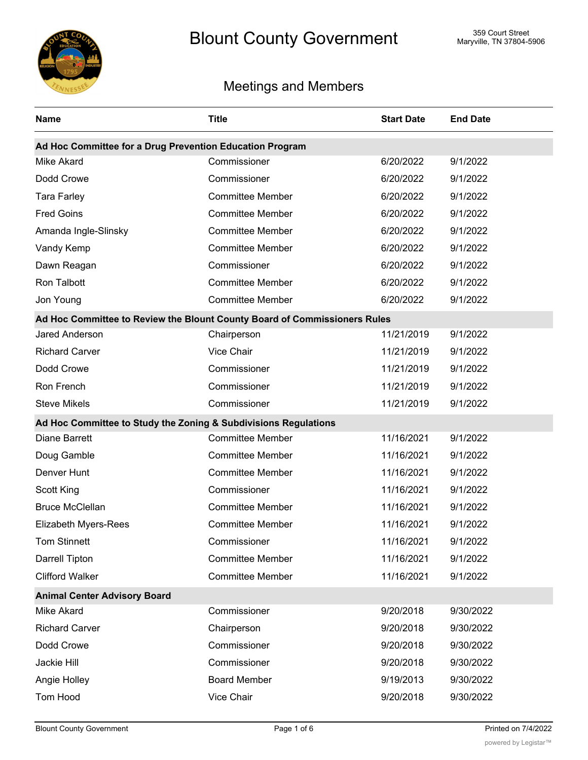

## Meetings and Members

| <b>Name</b>                                                     | <b>Title</b>                                                              | <b>Start Date</b> | <b>End Date</b> |
|-----------------------------------------------------------------|---------------------------------------------------------------------------|-------------------|-----------------|
| Ad Hoc Committee for a Drug Prevention Education Program        |                                                                           |                   |                 |
| <b>Mike Akard</b>                                               | Commissioner                                                              | 6/20/2022         | 9/1/2022        |
| Dodd Crowe                                                      | Commissioner                                                              | 6/20/2022         | 9/1/2022        |
| <b>Tara Farley</b>                                              | <b>Committee Member</b>                                                   | 6/20/2022         | 9/1/2022        |
| <b>Fred Goins</b>                                               | <b>Committee Member</b>                                                   | 6/20/2022         | 9/1/2022        |
| Amanda Ingle-Slinsky                                            | <b>Committee Member</b>                                                   | 6/20/2022         | 9/1/2022        |
| Vandy Kemp                                                      | <b>Committee Member</b>                                                   | 6/20/2022         | 9/1/2022        |
| Dawn Reagan                                                     | Commissioner                                                              | 6/20/2022         | 9/1/2022        |
| Ron Talbott                                                     | <b>Committee Member</b>                                                   | 6/20/2022         | 9/1/2022        |
| Jon Young                                                       | <b>Committee Member</b>                                                   | 6/20/2022         | 9/1/2022        |
|                                                                 | Ad Hoc Committee to Review the Blount County Board of Commissioners Rules |                   |                 |
| <b>Jared Anderson</b>                                           | Chairperson                                                               | 11/21/2019        | 9/1/2022        |
| <b>Richard Carver</b>                                           | Vice Chair                                                                | 11/21/2019        | 9/1/2022        |
| Dodd Crowe                                                      | Commissioner                                                              | 11/21/2019        | 9/1/2022        |
| Ron French                                                      | Commissioner                                                              | 11/21/2019        | 9/1/2022        |
| <b>Steve Mikels</b>                                             | Commissioner                                                              | 11/21/2019        | 9/1/2022        |
| Ad Hoc Committee to Study the Zoning & Subdivisions Regulations |                                                                           |                   |                 |
| <b>Diane Barrett</b>                                            | <b>Committee Member</b>                                                   | 11/16/2021        | 9/1/2022        |
| Doug Gamble                                                     | <b>Committee Member</b>                                                   | 11/16/2021        | 9/1/2022        |
| Denver Hunt                                                     | <b>Committee Member</b>                                                   | 11/16/2021        | 9/1/2022        |
| Scott King                                                      | Commissioner                                                              | 11/16/2021        | 9/1/2022        |
| <b>Bruce McClellan</b>                                          | <b>Committee Member</b>                                                   | 11/16/2021        | 9/1/2022        |
| Elizabeth Myers-Rees                                            | <b>Committee Member</b>                                                   | 11/16/2021        | 9/1/2022        |
| Tom Stinnett                                                    | Commissioner                                                              | 11/16/2021        | 9/1/2022        |
| Darrell Tipton                                                  | <b>Committee Member</b>                                                   | 11/16/2021        | 9/1/2022        |
| <b>Clifford Walker</b>                                          | <b>Committee Member</b>                                                   | 11/16/2021        | 9/1/2022        |
| <b>Animal Center Advisory Board</b>                             |                                                                           |                   |                 |
| Mike Akard                                                      | Commissioner                                                              | 9/20/2018         | 9/30/2022       |
| <b>Richard Carver</b>                                           | Chairperson                                                               | 9/20/2018         | 9/30/2022       |
| Dodd Crowe                                                      | Commissioner                                                              | 9/20/2018         | 9/30/2022       |
| Jackie Hill                                                     | Commissioner                                                              | 9/20/2018         | 9/30/2022       |
| Angie Holley                                                    | <b>Board Member</b>                                                       | 9/19/2013         | 9/30/2022       |
| <b>Tom Hood</b>                                                 | Vice Chair                                                                | 9/20/2018         | 9/30/2022       |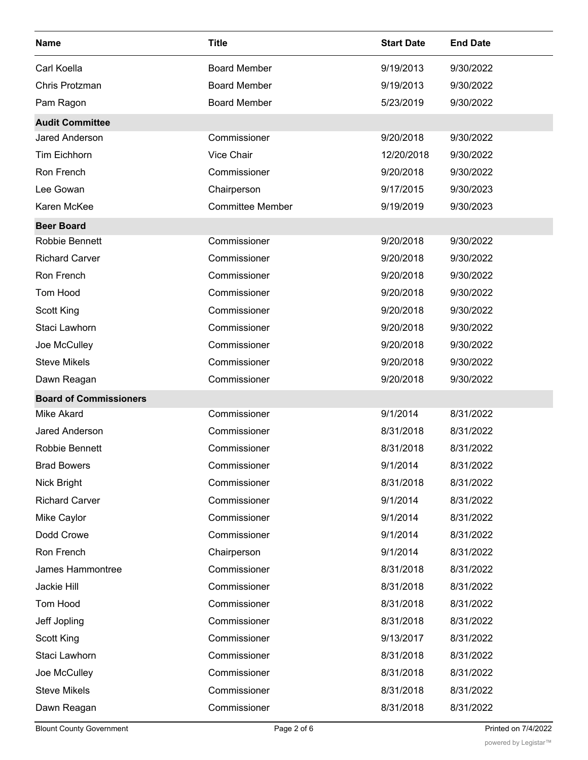| <b>Name</b>                   | <b>Title</b>            | <b>Start Date</b> | <b>End Date</b> |
|-------------------------------|-------------------------|-------------------|-----------------|
| Carl Koella                   | <b>Board Member</b>     | 9/19/2013         | 9/30/2022       |
| Chris Protzman                | <b>Board Member</b>     | 9/19/2013         | 9/30/2022       |
| Pam Ragon                     | <b>Board Member</b>     | 5/23/2019         | 9/30/2022       |
| <b>Audit Committee</b>        |                         |                   |                 |
| <b>Jared Anderson</b>         | Commissioner            | 9/20/2018         | 9/30/2022       |
| <b>Tim Eichhorn</b>           | Vice Chair              | 12/20/2018        | 9/30/2022       |
| Ron French                    | Commissioner            | 9/20/2018         | 9/30/2022       |
| Lee Gowan                     | Chairperson             | 9/17/2015         | 9/30/2023       |
| Karen McKee                   | <b>Committee Member</b> | 9/19/2019         | 9/30/2023       |
| <b>Beer Board</b>             |                         |                   |                 |
| Robbie Bennett                | Commissioner            | 9/20/2018         | 9/30/2022       |
| <b>Richard Carver</b>         | Commissioner            | 9/20/2018         | 9/30/2022       |
| Ron French                    | Commissioner            | 9/20/2018         | 9/30/2022       |
| Tom Hood                      | Commissioner            | 9/20/2018         | 9/30/2022       |
| Scott King                    | Commissioner            | 9/20/2018         | 9/30/2022       |
| Staci Lawhorn                 | Commissioner            | 9/20/2018         | 9/30/2022       |
| Joe McCulley                  | Commissioner            | 9/20/2018         | 9/30/2022       |
| <b>Steve Mikels</b>           | Commissioner            | 9/20/2018         | 9/30/2022       |
| Dawn Reagan                   | Commissioner            | 9/20/2018         | 9/30/2022       |
| <b>Board of Commissioners</b> |                         |                   |                 |
| <b>Mike Akard</b>             | Commissioner            | 9/1/2014          | 8/31/2022       |
| Jared Anderson                | Commissioner            | 8/31/2018         | 8/31/2022       |
| Robbie Bennett                | Commissioner            | 8/31/2018         | 8/31/2022       |
| <b>Brad Bowers</b>            | Commissioner            | 9/1/2014          | 8/31/2022       |
| Nick Bright                   | Commissioner            | 8/31/2018         | 8/31/2022       |
| <b>Richard Carver</b>         | Commissioner            | 9/1/2014          | 8/31/2022       |
| Mike Caylor                   | Commissioner            | 9/1/2014          | 8/31/2022       |
| Dodd Crowe                    | Commissioner            | 9/1/2014          | 8/31/2022       |
| Ron French                    | Chairperson             | 9/1/2014          | 8/31/2022       |
| James Hammontree              | Commissioner            | 8/31/2018         | 8/31/2022       |
| Jackie Hill                   | Commissioner            | 8/31/2018         | 8/31/2022       |
| Tom Hood                      | Commissioner            | 8/31/2018         | 8/31/2022       |
| Jeff Jopling                  | Commissioner            | 8/31/2018         | 8/31/2022       |
| Scott King                    | Commissioner            | 9/13/2017         | 8/31/2022       |
| Staci Lawhorn                 | Commissioner            | 8/31/2018         | 8/31/2022       |
| Joe McCulley                  | Commissioner            | 8/31/2018         | 8/31/2022       |
| <b>Steve Mikels</b>           | Commissioner            | 8/31/2018         | 8/31/2022       |
| Dawn Reagan                   | Commissioner            | 8/31/2018         | 8/31/2022       |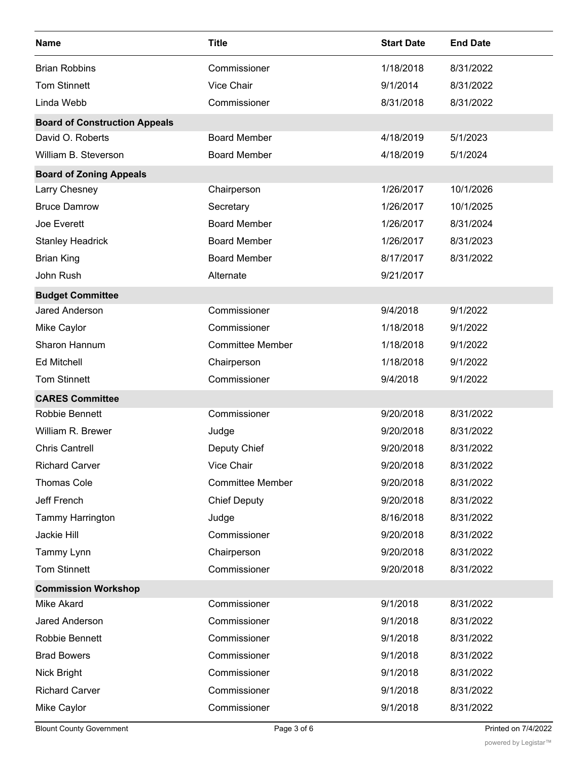| <b>Name</b>                          | <b>Title</b>            | <b>Start Date</b> | <b>End Date</b> |
|--------------------------------------|-------------------------|-------------------|-----------------|
| <b>Brian Robbins</b>                 | Commissioner            | 1/18/2018         | 8/31/2022       |
| <b>Tom Stinnett</b>                  | Vice Chair              | 9/1/2014          | 8/31/2022       |
| Linda Webb                           | Commissioner            | 8/31/2018         | 8/31/2022       |
| <b>Board of Construction Appeals</b> |                         |                   |                 |
| David O. Roberts                     | <b>Board Member</b>     | 4/18/2019         | 5/1/2023        |
| William B. Steverson                 | <b>Board Member</b>     | 4/18/2019         | 5/1/2024        |
| <b>Board of Zoning Appeals</b>       |                         |                   |                 |
| Larry Chesney                        | Chairperson             | 1/26/2017         | 10/1/2026       |
| <b>Bruce Damrow</b>                  | Secretary               | 1/26/2017         | 10/1/2025       |
| Joe Everett                          | <b>Board Member</b>     | 1/26/2017         | 8/31/2024       |
| <b>Stanley Headrick</b>              | <b>Board Member</b>     | 1/26/2017         | 8/31/2023       |
| <b>Brian King</b>                    | <b>Board Member</b>     | 8/17/2017         | 8/31/2022       |
| John Rush                            | Alternate               | 9/21/2017         |                 |
| <b>Budget Committee</b>              |                         |                   |                 |
| <b>Jared Anderson</b>                | Commissioner            | 9/4/2018          | 9/1/2022        |
| Mike Caylor                          | Commissioner            | 1/18/2018         | 9/1/2022        |
| Sharon Hannum                        | <b>Committee Member</b> | 1/18/2018         | 9/1/2022        |
| <b>Ed Mitchell</b>                   | Chairperson             | 1/18/2018         | 9/1/2022        |
| <b>Tom Stinnett</b>                  | Commissioner            | 9/4/2018          | 9/1/2022        |
| <b>CARES Committee</b>               |                         |                   |                 |
| Robbie Bennett                       | Commissioner            | 9/20/2018         | 8/31/2022       |
| William R. Brewer                    | Judge                   | 9/20/2018         | 8/31/2022       |
| <b>Chris Cantrell</b>                | Deputy Chief            | 9/20/2018         | 8/31/2022       |
| <b>Richard Carver</b>                | Vice Chair              | 9/20/2018         | 8/31/2022       |
| <b>Thomas Cole</b>                   | <b>Committee Member</b> | 9/20/2018         | 8/31/2022       |
| Jeff French                          | <b>Chief Deputy</b>     | 9/20/2018         | 8/31/2022       |
| <b>Tammy Harrington</b>              | Judge                   | 8/16/2018         | 8/31/2022       |
| Jackie Hill                          | Commissioner            | 9/20/2018         | 8/31/2022       |
| Tammy Lynn                           | Chairperson             | 9/20/2018         | 8/31/2022       |
| <b>Tom Stinnett</b>                  | Commissioner            | 9/20/2018         | 8/31/2022       |
| <b>Commission Workshop</b>           |                         |                   |                 |
| <b>Mike Akard</b>                    | Commissioner            | 9/1/2018          | 8/31/2022       |
| Jared Anderson                       | Commissioner            | 9/1/2018          | 8/31/2022       |
| Robbie Bennett                       | Commissioner            | 9/1/2018          | 8/31/2022       |
| <b>Brad Bowers</b>                   | Commissioner            | 9/1/2018          | 8/31/2022       |
| Nick Bright                          | Commissioner            | 9/1/2018          | 8/31/2022       |
| <b>Richard Carver</b>                | Commissioner            | 9/1/2018          | 8/31/2022       |
| Mike Caylor                          | Commissioner            | 9/1/2018          | 8/31/2022       |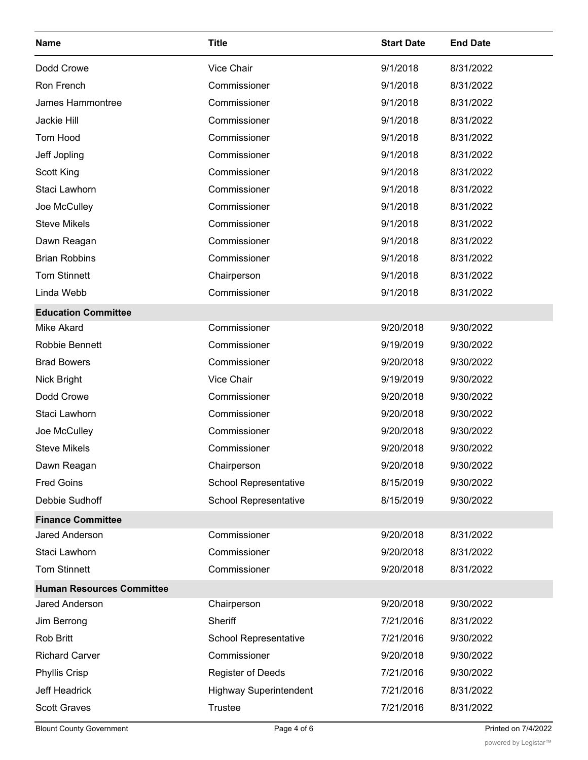| <b>Name</b>                      | <b>Title</b>                  | <b>Start Date</b> | <b>End Date</b> |
|----------------------------------|-------------------------------|-------------------|-----------------|
| Dodd Crowe                       | Vice Chair                    | 9/1/2018          | 8/31/2022       |
| Ron French                       | Commissioner                  | 9/1/2018          | 8/31/2022       |
| James Hammontree                 | Commissioner                  | 9/1/2018          | 8/31/2022       |
| Jackie Hill                      | Commissioner                  | 9/1/2018          | 8/31/2022       |
| Tom Hood                         | Commissioner                  | 9/1/2018          | 8/31/2022       |
| Jeff Jopling                     | Commissioner                  | 9/1/2018          | 8/31/2022       |
| Scott King                       | Commissioner                  | 9/1/2018          | 8/31/2022       |
| Staci Lawhorn                    | Commissioner                  | 9/1/2018          | 8/31/2022       |
| Joe McCulley                     | Commissioner                  | 9/1/2018          | 8/31/2022       |
| <b>Steve Mikels</b>              | Commissioner                  | 9/1/2018          | 8/31/2022       |
| Dawn Reagan                      | Commissioner                  | 9/1/2018          | 8/31/2022       |
| <b>Brian Robbins</b>             | Commissioner                  | 9/1/2018          | 8/31/2022       |
| <b>Tom Stinnett</b>              | Chairperson                   | 9/1/2018          | 8/31/2022       |
| Linda Webb                       | Commissioner                  | 9/1/2018          | 8/31/2022       |
| <b>Education Committee</b>       |                               |                   |                 |
| <b>Mike Akard</b>                | Commissioner                  | 9/20/2018         | 9/30/2022       |
| Robbie Bennett                   | Commissioner                  | 9/19/2019         | 9/30/2022       |
| <b>Brad Bowers</b>               | Commissioner                  | 9/20/2018         | 9/30/2022       |
| Nick Bright                      | Vice Chair                    | 9/19/2019         | 9/30/2022       |
| Dodd Crowe                       | Commissioner                  | 9/20/2018         | 9/30/2022       |
| Staci Lawhorn                    | Commissioner                  | 9/20/2018         | 9/30/2022       |
| Joe McCulley                     | Commissioner                  | 9/20/2018         | 9/30/2022       |
| <b>Steve Mikels</b>              | Commissioner                  | 9/20/2018         | 9/30/2022       |
| Dawn Reagan                      | Chairperson                   | 9/20/2018         | 9/30/2022       |
| <b>Fred Goins</b>                | School Representative         | 8/15/2019         | 9/30/2022       |
| Debbie Sudhoff                   | <b>School Representative</b>  | 8/15/2019         | 9/30/2022       |
| <b>Finance Committee</b>         |                               |                   |                 |
| Jared Anderson                   | Commissioner                  | 9/20/2018         | 8/31/2022       |
| Staci Lawhorn                    | Commissioner                  | 9/20/2018         | 8/31/2022       |
| <b>Tom Stinnett</b>              | Commissioner                  | 9/20/2018         | 8/31/2022       |
| <b>Human Resources Committee</b> |                               |                   |                 |
| Jared Anderson                   | Chairperson                   | 9/20/2018         | 9/30/2022       |
| Jim Berrong                      | Sheriff                       | 7/21/2016         | 8/31/2022       |
| Rob Britt                        | School Representative         | 7/21/2016         | 9/30/2022       |
| <b>Richard Carver</b>            | Commissioner                  | 9/20/2018         | 9/30/2022       |
| <b>Phyllis Crisp</b>             | <b>Register of Deeds</b>      | 7/21/2016         | 9/30/2022       |
| Jeff Headrick                    | <b>Highway Superintendent</b> | 7/21/2016         | 8/31/2022       |
| <b>Scott Graves</b>              | <b>Trustee</b>                | 7/21/2016         | 8/31/2022       |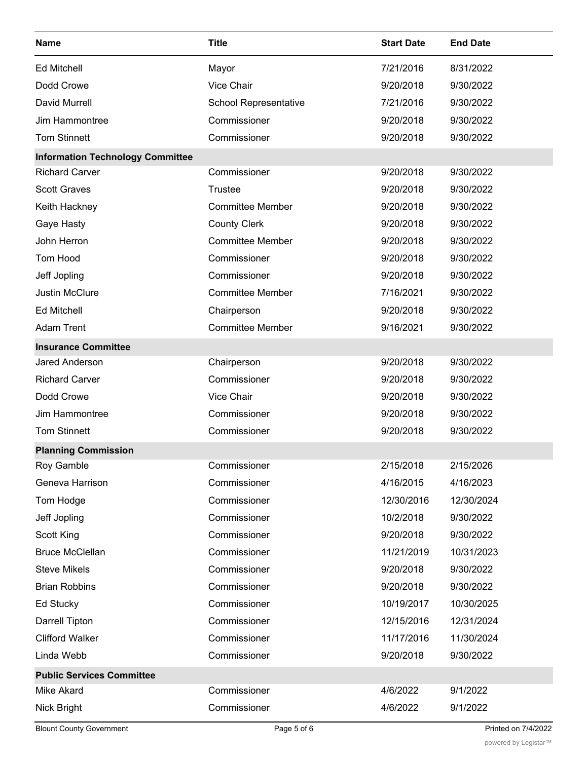| <b>Name</b>                             | <b>Title</b>            | <b>Start Date</b> | <b>End Date</b> |
|-----------------------------------------|-------------------------|-------------------|-----------------|
| <b>Ed Mitchell</b>                      | Mayor                   | 7/21/2016         | 8/31/2022       |
| Dodd Crowe                              | <b>Vice Chair</b>       | 9/20/2018         | 9/30/2022       |
| <b>David Murrell</b>                    | School Representative   | 7/21/2016         | 9/30/2022       |
| Jim Hammontree                          | Commissioner            | 9/20/2018         | 9/30/2022       |
| <b>Tom Stinnett</b>                     | Commissioner            | 9/20/2018         | 9/30/2022       |
| <b>Information Technology Committee</b> |                         |                   |                 |
| <b>Richard Carver</b>                   | Commissioner            | 9/20/2018         | 9/30/2022       |
| <b>Scott Graves</b>                     | <b>Trustee</b>          | 9/20/2018         | 9/30/2022       |
| Keith Hackney                           | <b>Committee Member</b> | 9/20/2018         | 9/30/2022       |
| Gaye Hasty                              | <b>County Clerk</b>     | 9/20/2018         | 9/30/2022       |
| John Herron                             | <b>Committee Member</b> | 9/20/2018         | 9/30/2022       |
| Tom Hood                                | Commissioner            | 9/20/2018         | 9/30/2022       |
| Jeff Jopling                            | Commissioner            | 9/20/2018         | 9/30/2022       |
| <b>Justin McClure</b>                   | <b>Committee Member</b> | 7/16/2021         | 9/30/2022       |
| <b>Ed Mitchell</b>                      | Chairperson             | 9/20/2018         | 9/30/2022       |
| <b>Adam Trent</b>                       | <b>Committee Member</b> | 9/16/2021         | 9/30/2022       |
| <b>Insurance Committee</b>              |                         |                   |                 |
| Jared Anderson                          | Chairperson             | 9/20/2018         | 9/30/2022       |
| <b>Richard Carver</b>                   | Commissioner            | 9/20/2018         | 9/30/2022       |
| Dodd Crowe                              | Vice Chair              | 9/20/2018         | 9/30/2022       |
| Jim Hammontree                          | Commissioner            | 9/20/2018         | 9/30/2022       |
| <b>Tom Stinnett</b>                     | Commissioner            | 9/20/2018         | 9/30/2022       |
| <b>Planning Commission</b>              |                         |                   |                 |
| Roy Gamble                              | Commissioner            | 2/15/2018         | 2/15/2026       |
| Geneva Harrison                         | Commissioner            | 4/16/2015         | 4/16/2023       |
| Tom Hodge                               | Commissioner            | 12/30/2016        | 12/30/2024      |
| Jeff Jopling                            | Commissioner            | 10/2/2018         | 9/30/2022       |
| Scott King                              | Commissioner            | 9/20/2018         | 9/30/2022       |
| <b>Bruce McClellan</b>                  | Commissioner            | 11/21/2019        | 10/31/2023      |
| <b>Steve Mikels</b>                     | Commissioner            | 9/20/2018         | 9/30/2022       |
| <b>Brian Robbins</b>                    | Commissioner            | 9/20/2018         | 9/30/2022       |
| Ed Stucky                               | Commissioner            | 10/19/2017        | 10/30/2025      |
| Darrell Tipton                          | Commissioner            | 12/15/2016        | 12/31/2024      |
| <b>Clifford Walker</b>                  | Commissioner            | 11/17/2016        | 11/30/2024      |
| Linda Webb                              | Commissioner            | 9/20/2018         | 9/30/2022       |
| <b>Public Services Committee</b>        |                         |                   |                 |
| <b>Mike Akard</b>                       | Commissioner            | 4/6/2022          | 9/1/2022        |
| Nick Bright                             | Commissioner            | 4/6/2022          | 9/1/2022        |